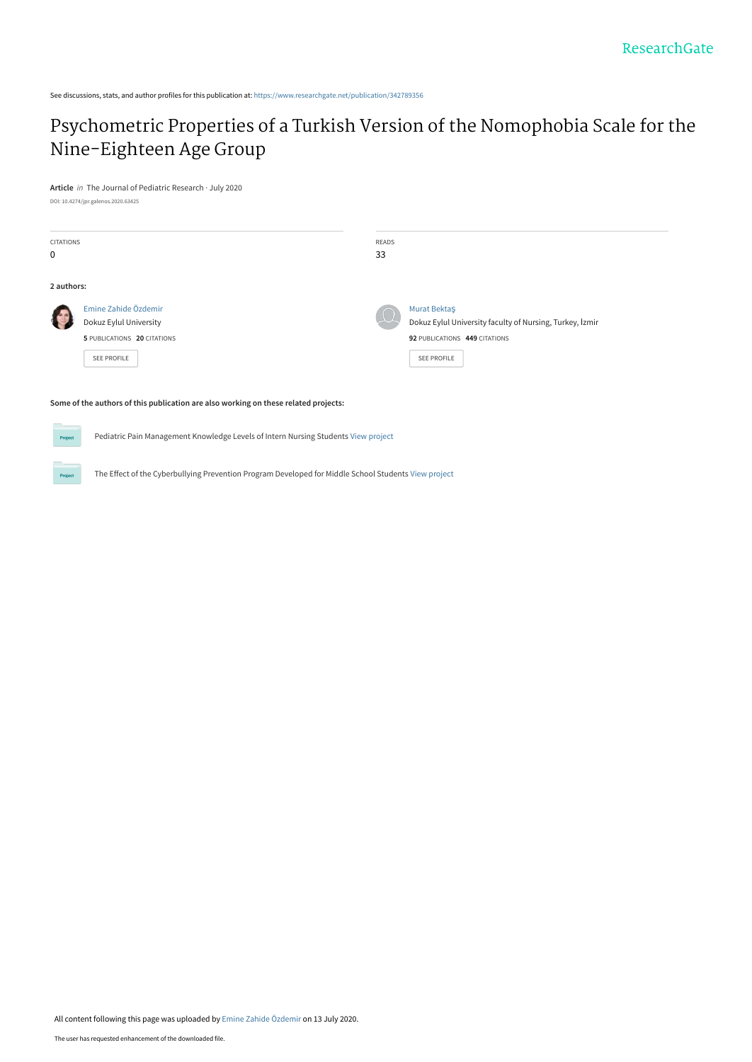See discussions, stats, and author profiles for this publication at: [https://www.researchgate.net/publication/342789356](https://www.researchgate.net/publication/342789356_Psychometric_Properties_of_a_Turkish_Version_of_the_Nomophobia_Scale_for_the_Nine-Eighteen_Age_Group?enrichId=rgreq-526f5e0e73784f4fcd4523f89482b7f0-XXX&enrichSource=Y292ZXJQYWdlOzM0Mjc4OTM1NjtBUzo5MTI4NTIwNjgwNzc1NjhAMTU5NDY1MjMwMTEwOA%3D%3D&el=1_x_2&_esc=publicationCoverPdf)

# [Psychometric Properties of a Turkish Version of the Nomophobia Scale for the](https://www.researchgate.net/publication/342789356_Psychometric_Properties_of_a_Turkish_Version_of_the_Nomophobia_Scale_for_the_Nine-Eighteen_Age_Group?enrichId=rgreq-526f5e0e73784f4fcd4523f89482b7f0-XXX&enrichSource=Y292ZXJQYWdlOzM0Mjc4OTM1NjtBUzo5MTI4NTIwNjgwNzc1NjhAMTU5NDY1MjMwMTEwOA%3D%3D&el=1_x_3&_esc=publicationCoverPdf) Nine-Eighteen Age Group

**Article** in The Journal of Pediatric Research · July 2020 DOI: 10.4274/jpr.galenos.2020.63425

 $P<sub>n</sub>$ 

| <b>CITATIONS</b><br>$\mathbf 0$ |                                                                                                     | READS<br>33 |                                                                                                                          |
|---------------------------------|-----------------------------------------------------------------------------------------------------|-------------|--------------------------------------------------------------------------------------------------------------------------|
| 2 authors:                      |                                                                                                     |             |                                                                                                                          |
|                                 | Emine Zahide Özdemir<br>Dokuz Eylul University<br>5 PUBLICATIONS 20 CITATIONS<br><b>SEE PROFILE</b> | $\Omega$    | Murat Bektaş<br>Dokuz Eylul University faculty of Nursing, Turkey, İzmir<br>92 PUBLICATIONS 449 CITATIONS<br>SEE PROFILE |

#### **Some of the authors of this publication are also working on these related projects:**

Pediatric Pain Management Knowledge Levels of Intern Nursing Students [View project](https://www.researchgate.net/project/Pediatric-Pain-Management-Knowledge-Levels-of-Intern-Nursing-Students?enrichId=rgreq-526f5e0e73784f4fcd4523f89482b7f0-XXX&enrichSource=Y292ZXJQYWdlOzM0Mjc4OTM1NjtBUzo5MTI4NTIwNjgwNzc1NjhAMTU5NDY1MjMwMTEwOA%3D%3D&el=1_x_9&_esc=publicationCoverPdf)

The Effect of the Cyberbullying Prevention Program Developed for Middle School Students [View project](https://www.researchgate.net/project/The-Effect-of-the-Cyberbullying-Prevention-Program-Developed-for-Middle-School-Students?enrichId=rgreq-526f5e0e73784f4fcd4523f89482b7f0-XXX&enrichSource=Y292ZXJQYWdlOzM0Mjc4OTM1NjtBUzo5MTI4NTIwNjgwNzc1NjhAMTU5NDY1MjMwMTEwOA%3D%3D&el=1_x_9&_esc=publicationCoverPdf)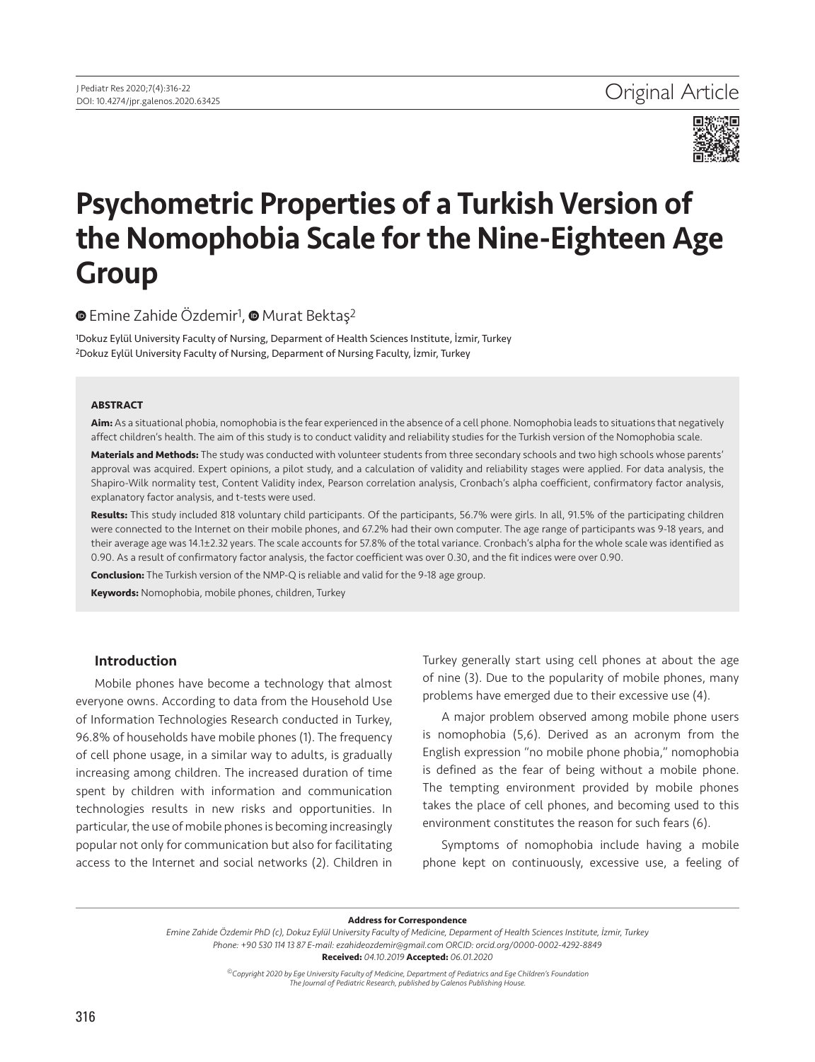

# Psychometric Properties of a Turkish Version of the Nomophobia Scale for the Nine-Eighteen Age Group

<sup>■</sup>Emine Zahide Özdemir<sup>1</sup>, ■ Murat Bektaş<sup>2</sup>

1Dokuz Eylül University Faculty of Nursing, Deparment of Health Sciences Institute, İzmir, Turkey 2Dokuz Eylül University Faculty of Nursing, Deparment of Nursing Faculty, İzmir, Turkey

#### **ABSTRACT**

**Aim:** As a situational phobia, nomophobia is the fear experienced in the absence of a cell phone. Nomophobia leads to situations that negatively affect children's health. The aim of this study is to conduct validity and reliability studies for the Turkish version of the Nomophobia scale.

**Materials and Methods:** The study was conducted with volunteer students from three secondary schools and two high schools whose parents' approval was acquired. Expert opinions, a pilot study, and a calculation of validity and reliability stages were applied. For data analysis, the Shapiro-Wilk normality test, Content Validity index, Pearson correlation analysis, Cronbach's alpha coefficient, confirmatory factor analysis, explanatory factor analysis, and t-tests were used.

**Results:** This study included 818 voluntary child participants. Of the participants, 56.7% were girls. In all, 91.5% of the participating children were connected to the Internet on their mobile phones, and 67.2% had their own computer. The age range of participants was 9-18 years, and their average age was 14.1±2.32 years. The scale accounts for 57.8% of the total variance. Cronbach's alpha for the whole scale was identified as 0.90. As a result of confirmatory factor analysis, the factor coefficient was over 0.30, and the fit indices were over 0.90.

**Conclusion:** The Turkish version of the NMP-Q is reliable and valid for the 9-18 age group.

**Keywords:** Nomophobia, mobile phones, children, Turkey

# Introduction

Mobile phones have become a technology that almost everyone owns. According to data from the Household Use of Information Technologies Research conducted in Turkey, 96.8% of households have mobile phones (1). The frequency of cell phone usage, in a similar way to adults, is gradually increasing among children. The increased duration of time spent by children with information and communication technologies results in new risks and opportunities. In particular, the use of mobile phones is becoming increasingly popular not only for communication but also for facilitating access to the Internet and social networks (2). Children in

Turkey generally start using cell phones at about the age of nine (3). Due to the popularity of mobile phones, many problems have emerged due to their excessive use (4).

A major problem observed among mobile phone users is nomophobia (5,6). Derived as an acronym from the English expression "no mobile phone phobia," nomophobia is defined as the fear of being without a mobile phone. The tempting environment provided by mobile phones takes the place of cell phones, and becoming used to this environment constitutes the reason for such fears (6).

Symptoms of nomophobia include having a mobile phone kept on continuously, excessive use, a feeling of

**Address for Correspondence**

*Emine Zahide Özdemir PhD (c), Dokuz Eylül University Faculty of Medicine, Deparment of Health Sciences Institute, İzmir, Turkey Phone: +90 530 114 13 87 E-mail: ezahideozdemir@gmail.com ORCID: orcid.org/0000-0002-4292-8849*

**Received:** *04.10.2019* **Accepted:** *06.01.2020*

*©Copyright 2020 by Ege University Faculty of Medicine, Department of Pediatrics and Ege Children's Foundation The Journal of Pediatric Research, published by Galenos Publishing House.*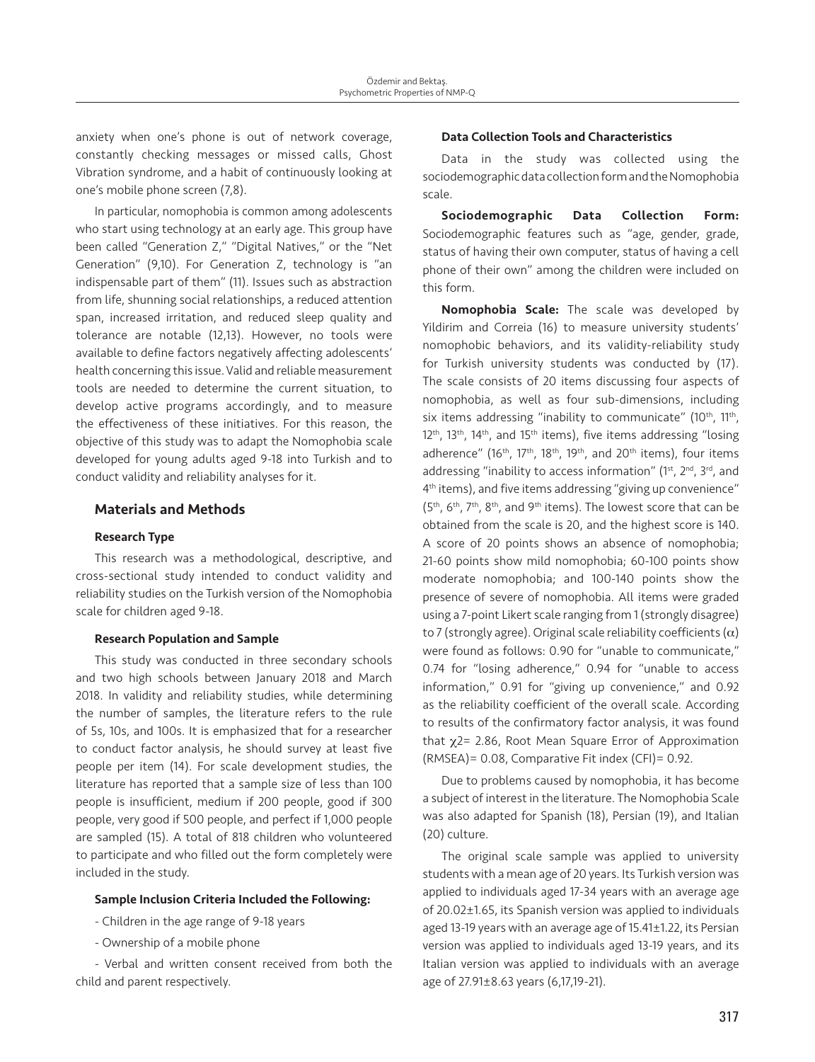anxiety when one's phone is out of network coverage, constantly checking messages or missed calls, Ghost Vibration syndrome, and a habit of continuously looking at one's mobile phone screen (7,8).

In particular, nomophobia is common among adolescents who start using technology at an early age. This group have been called "Generation Z," "Digital Natives," or the "Net Generation" (9,10). For Generation Z, technology is "an indispensable part of them" (11). Issues such as abstraction from life, shunning social relationships, a reduced attention span, increased irritation, and reduced sleep quality and tolerance are notable (12,13). However, no tools were available to define factors negatively affecting adolescents' health concerning this issue. Valid and reliable measurement tools are needed to determine the current situation, to develop active programs accordingly, and to measure the effectiveness of these initiatives. For this reason, the objective of this study was to adapt the Nomophobia scale developed for young adults aged 9-18 into Turkish and to conduct validity and reliability analyses for it.

#### Materials and Methods

#### Research Type

This research was a methodological, descriptive, and cross-sectional study intended to conduct validity and reliability studies on the Turkish version of the Nomophobia scale for children aged 9-18.

#### Research Population and Sample

This study was conducted in three secondary schools and two high schools between January 2018 and March 2018. In validity and reliability studies, while determining the number of samples, the literature refers to the rule of 5s, 10s, and 100s. It is emphasized that for a researcher to conduct factor analysis, he should survey at least five people per item (14). For scale development studies, the literature has reported that a sample size of less than 100 people is insufficient, medium if 200 people, good if 300 people, very good if 500 people, and perfect if 1,000 people are sampled (15). A total of 818 children who volunteered to participate and who filled out the form completely were included in the study.

#### Sample Inclusion Criteria Included the Following:

- Children in the age range of 9-18 years

- Ownership of a mobile phone

- Verbal and written consent received from both the child and parent respectively.

#### Data Collection Tools and Characteristics

Data in the study was collected using the sociodemographic data collection form and the Nomophobia scale.

Sociodemographic Data Collection Form: Sociodemographic features such as "age, gender, grade, status of having their own computer, status of having a cell phone of their own" among the children were included on this form.

Nomophobia Scale: The scale was developed by Yildirim and Correia (16) to measure university students' nomophobic behaviors, and its validity-reliability study for Turkish university students was conducted by (17). The scale consists of 20 items discussing four aspects of nomophobia, as well as four sub-dimensions, including six items addressing "inability to communicate" (10<sup>th</sup>, 11<sup>th</sup>, 12<sup>th</sup>, 13<sup>th</sup>, 14<sup>th</sup>, and 15<sup>th</sup> items), five items addressing "losing adherence" (16<sup>th</sup>, 17<sup>th</sup>, 18<sup>th</sup>, 19<sup>th</sup>, and 20<sup>th</sup> items), four items addressing "inability to access information"  $(1<sup>st</sup>, 2<sup>nd</sup>, 3<sup>rd</sup>)$ , and 4th items), and five items addressing "giving up convenience" (5th, 6th, 7th, 8th, and 9th items). The lowest score that can be obtained from the scale is 20, and the highest score is 140. A score of 20 points shows an absence of nomophobia; 21-60 points show mild nomophobia; 60-100 points show moderate nomophobia; and 100-140 points show the presence of severe of nomophobia. All items were graded using a 7-point Likert scale ranging from 1 (strongly disagree) to 7 (strongly agree). Original scale reliability coefficients  $(\alpha)$ were found as follows: 0.90 for "unable to communicate," 0.74 for "losing adherence," 0.94 for "unable to access information," 0.91 for "giving up convenience," and 0.92 as the reliability coefficient of the overall scale. According to results of the confirmatory factor analysis, it was found that χ2= 2.86, Root Mean Square Error of Approximation (RMSEA)= 0.08, Comparative Fit index (CFI)= 0.92.

Due to problems caused by nomophobia, it has become a subject of interest in the literature. The Nomophobia Scale was also adapted for Spanish (18), Persian (19), and Italian (20) culture.

The original scale sample was applied to university students with a mean age of 20 years. Its Turkish version was applied to individuals aged 17-34 years with an average age of 20.02±1.65, its Spanish version was applied to individuals aged 13-19 years with an average age of 15.41±1.22, its Persian version was applied to individuals aged 13-19 years, and its Italian version was applied to individuals with an average age of 27.91±8.63 years (6,17,19-21).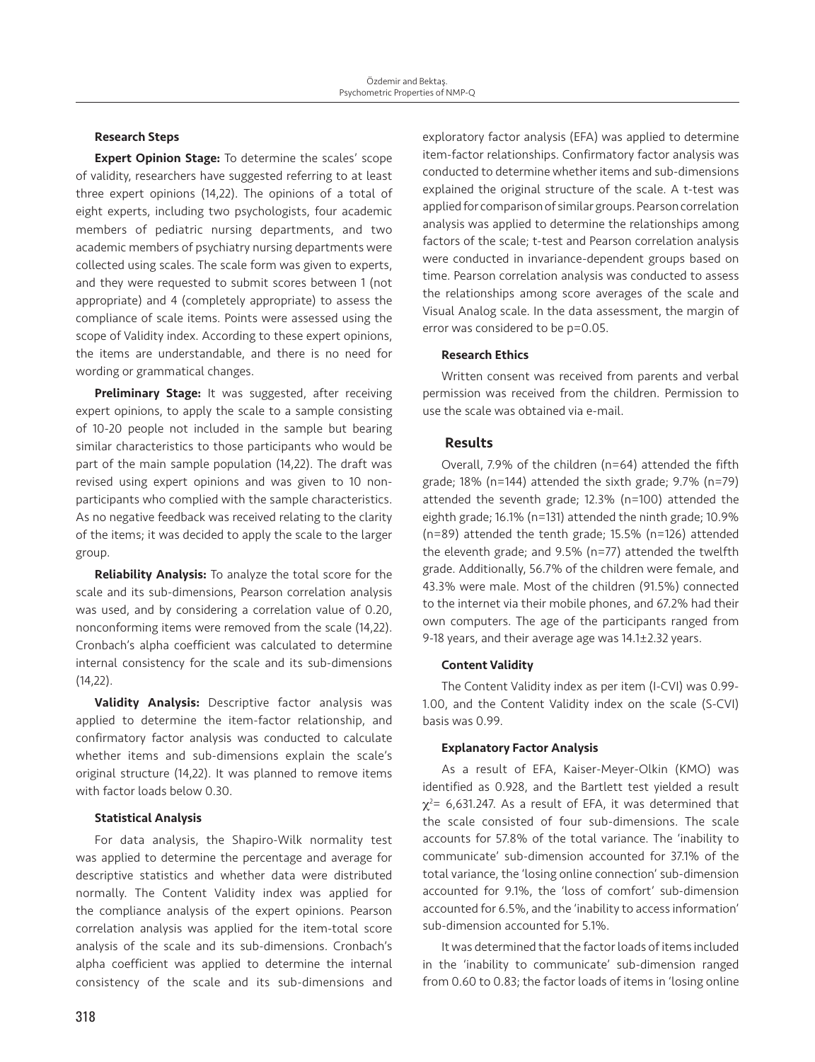#### Research Steps

Expert Opinion Stage: To determine the scales' scope of validity, researchers have suggested referring to at least three expert opinions (14,22). The opinions of a total of eight experts, including two psychologists, four academic members of pediatric nursing departments, and two academic members of psychiatry nursing departments were collected using scales. The scale form was given to experts, and they were requested to submit scores between 1 (not appropriate) and 4 (completely appropriate) to assess the compliance of scale items. Points were assessed using the scope of Validity index. According to these expert opinions, the items are understandable, and there is no need for wording or grammatical changes.

Preliminary Stage: It was suggested, after receiving expert opinions, to apply the scale to a sample consisting of 10-20 people not included in the sample but bearing similar characteristics to those participants who would be part of the main sample population (14,22). The draft was revised using expert opinions and was given to 10 nonparticipants who complied with the sample characteristics. As no negative feedback was received relating to the clarity of the items; it was decided to apply the scale to the larger group.

Reliability Analysis: To analyze the total score for the scale and its sub-dimensions, Pearson correlation analysis was used, and by considering a correlation value of 0.20, nonconforming items were removed from the scale (14,22). Cronbach's alpha coefficient was calculated to determine internal consistency for the scale and its sub-dimensions (14,22).

Validity Analysis: Descriptive factor analysis was applied to determine the item-factor relationship, and confirmatory factor analysis was conducted to calculate whether items and sub-dimensions explain the scale's original structure (14,22). It was planned to remove items with factor loads below 0.30.

# Statistical Analysis

For data analysis, the Shapiro-Wilk normality test was applied to determine the percentage and average for descriptive statistics and whether data were distributed normally. The Content Validity index was applied for the compliance analysis of the expert opinions. Pearson correlation analysis was applied for the item-total score analysis of the scale and its sub-dimensions. Cronbach's alpha coefficient was applied to determine the internal consistency of the scale and its sub-dimensions and exploratory factor analysis (EFA) was applied to determine item-factor relationships. Confirmatory factor analysis was conducted to determine whether items and sub-dimensions explained the original structure of the scale. A t-test was applied for comparison of similar groups. Pearson correlation analysis was applied to determine the relationships among factors of the scale; t-test and Pearson correlation analysis were conducted in invariance-dependent groups based on time. Pearson correlation analysis was conducted to assess the relationships among score averages of the scale and Visual Analog scale. In the data assessment, the margin of error was considered to be p=0.05.

# Research Ethics

Written consent was received from parents and verbal permission was received from the children. Permission to use the scale was obtained via e-mail.

# Results

Overall, 7.9% of the children (n=64) attended the fifth grade; 18% (n=144) attended the sixth grade; 9.7% (n=79) attended the seventh grade; 12.3% (n=100) attended the eighth grade; 16.1% (n=131) attended the ninth grade; 10.9% (n=89) attended the tenth grade; 15.5% (n=126) attended the eleventh grade; and 9.5% (n=77) attended the twelfth grade. Additionally, 56.7% of the children were female, and 43.3% were male. Most of the children (91.5%) connected to the internet via their mobile phones, and 67.2% had their own computers. The age of the participants ranged from 9-18 years, and their average age was 14.1±2.32 years.

#### Content Validity

The Content Validity index as per item (I-CVI) was 0.99- 1.00, and the Content Validity index on the scale (S-CVI) basis was 0.99.

#### Explanatory Factor Analysis

As a result of EFA, Kaiser-Meyer-Olkin (KMO) was identified as 0.928, and the Bartlett test yielded a result  $\chi^2$ = 6,631.247. As a result of EFA, it was determined that the scale consisted of four sub-dimensions. The scale accounts for 57.8% of the total variance. The 'inability to communicate' sub-dimension accounted for 37.1% of the total variance, the 'losing online connection' sub-dimension accounted for 9.1%, the 'loss of comfort' sub-dimension accounted for 6.5%, and the 'inability to access information' sub-dimension accounted for 5.1%.

It was determined that the factor loads of items included in the 'inability to communicate' sub-dimension ranged from 0.60 to 0.83; the factor loads of items in 'losing online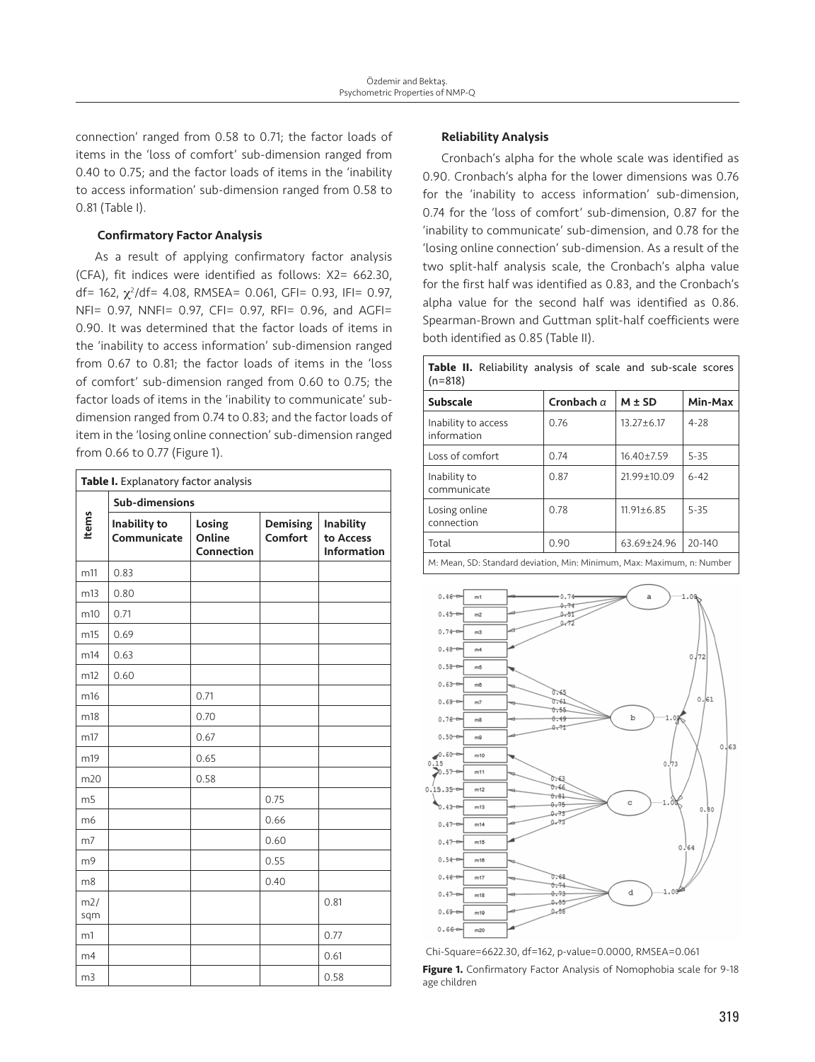connection' ranged from 0.58 to 0.71; the factor loads of items in the 'loss of comfort' sub-dimension ranged from 0.40 to 0.75; and the factor loads of items in the 'inability to access information' sub-dimension ranged from 0.58 to 0.81 (Table I).

#### Confirmatory Factor Analysis

As a result of applying confirmatory factor analysis (CFA), fit indices were identified as follows: X2= 662.30, df= 162, χ<sup>2</sup>/df= 4.08, RMSEA= 0.061, GFI= 0.93, IFI= 0.97, NFI= 0.97, NNFI= 0.97, CFI= 0.97, RFI= 0.96, and AGFI= 0.90. It was determined that the factor loads of items in the 'inability to access information' sub-dimension ranged from 0.67 to 0.81; the factor loads of items in the 'loss of comfort' sub-dimension ranged from 0.60 to 0.75; the factor loads of items in the 'inability to communicate' subdimension ranged from 0.74 to 0.83; and the factor loads of item in the 'losing online connection' sub-dimension ranged from 0.66 to 0.77 (Figure 1).

| Table I. Explanatory factor analysis |                             |                                |                            |                                                     |  |  |
|--------------------------------------|-----------------------------|--------------------------------|----------------------------|-----------------------------------------------------|--|--|
|                                      | Sub-dimensions              |                                |                            |                                                     |  |  |
| Items                                | Inability to<br>Communicate | Losing<br>Online<br>Connection | <b>Demising</b><br>Comfort | <b>Inability</b><br>to Access<br><b>Information</b> |  |  |
| m11                                  | 0.83                        |                                |                            |                                                     |  |  |
| m13                                  | 0.80                        |                                |                            |                                                     |  |  |
| m10                                  | 0.71                        |                                |                            |                                                     |  |  |
| m15                                  | 0.69                        |                                |                            |                                                     |  |  |
| m14                                  | 0.63                        |                                |                            |                                                     |  |  |
| m12                                  | 0.60                        |                                |                            |                                                     |  |  |
| m16                                  |                             | 0.71                           |                            |                                                     |  |  |
| m18                                  |                             | 0.70                           |                            |                                                     |  |  |
| m17                                  |                             | 0.67                           |                            |                                                     |  |  |
| m19                                  |                             | 0.65                           |                            |                                                     |  |  |
| m20                                  |                             | 0.58                           |                            |                                                     |  |  |
| m <sub>5</sub>                       |                             |                                | 0.75                       |                                                     |  |  |
| m <sub>6</sub>                       |                             |                                | 0.66                       |                                                     |  |  |
| m <sub>7</sub>                       |                             |                                | 0.60                       |                                                     |  |  |
| m <sub>9</sub>                       |                             |                                | 0.55                       |                                                     |  |  |
| m8                                   |                             |                                | 0.40                       |                                                     |  |  |
| m2/<br>sqm                           |                             |                                |                            | 0.81                                                |  |  |
| m1                                   |                             |                                |                            | 0.77                                                |  |  |
| m4                                   |                             |                                |                            | 0.61                                                |  |  |
| m <sub>3</sub>                       |                             |                                |                            | 0.58                                                |  |  |

#### Reliability Analysis

Cronbach's alpha for the whole scale was identified as 0.90. Cronbach's alpha for the lower dimensions was 0.76 for the 'inability to access information' sub-dimension, 0.74 for the 'loss of comfort' sub-dimension, 0.87 for the 'inability to communicate' sub-dimension, and 0.78 for the 'losing online connection' sub-dimension. As a result of the two split-half analysis scale, the Cronbach's alpha value for the first half was identified as 0.83, and the Cronbach's alpha value for the second half was identified as 0.86. Spearman-Brown and Guttman split-half coefficients were both identified as 0.85 (Table II).

| $(n=818)$                          |                   |                  |          |  |
|------------------------------------|-------------------|------------------|----------|--|
| <b>Subscale</b>                    | Cronbach $\alpha$ | $M \pm SD$       | Min-Max  |  |
| Inability to access<br>information | 0.76              | $13.27 \pm 6.17$ | $4 - 28$ |  |
| Loss of comfort                    | 0.74              | $16.40 \pm 7.59$ | $5 - 35$ |  |
| Inability to<br>communicate        | 0.87              | 21.99±10.09      | $6 - 42$ |  |
| Losing online<br>connection        | 0.78              | $11.91 \pm 6.85$ | $5 - 35$ |  |
| Total                              | 0.90              | $63.69 + 24.96$  | 20-140   |  |

**Table II.** Reliability analysis of scale and sub-scale scores

M: Mean, SD: Standard deviation, Min: Minimum, Max: Maximum, n: Number



Chi-Square=6622.30, df=162, p-value=0.0000, RMSEA=0.061

Figure 1. Confirmatory Factor Analysis of Nomophobia scale for 9-18 age children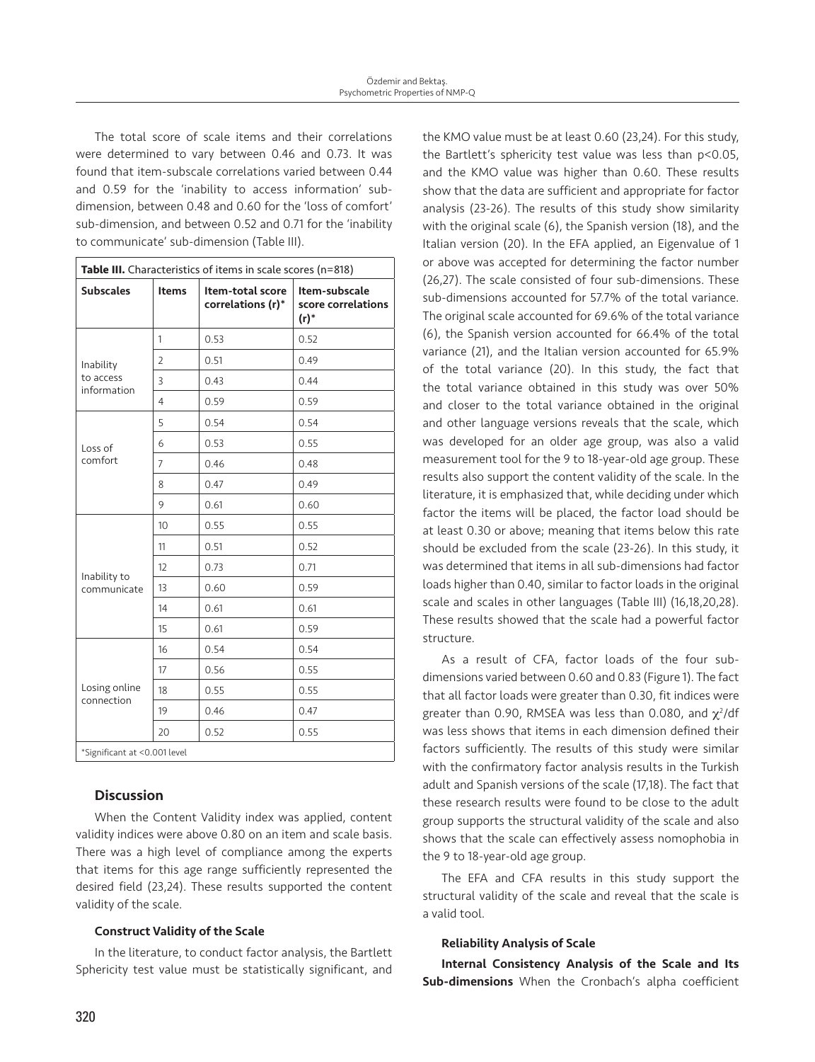The total score of scale items and their correlations were determined to vary between 0.46 and 0.73. It was found that item-subscale correlations varied between 0.44 and 0.59 for the 'inability to access information' subdimension, between 0.48 and 0.60 for the 'loss of comfort' sub-dimension, and between 0.52 and 0.71 for the 'inability to communicate' sub-dimension (Table III).

| Table III. Characteristics of items in scale scores (n=818) |                |                                       |                                                |  |  |  |  |
|-------------------------------------------------------------|----------------|---------------------------------------|------------------------------------------------|--|--|--|--|
| <b>Subscales</b>                                            | <b>Items</b>   | Item-total score<br>correlations (r)* | Item-subscale<br>score correlations<br>$(r)^*$ |  |  |  |  |
|                                                             | $\mathbf{1}$   | 0.53                                  | 0.52                                           |  |  |  |  |
| Inability                                                   | $\overline{2}$ | 0.51                                  | 0.49                                           |  |  |  |  |
| to access<br>information                                    | 3              | 0.43                                  | 0.44                                           |  |  |  |  |
|                                                             | $\overline{4}$ | 0.59                                  | 0.59                                           |  |  |  |  |
|                                                             | 5              | 0.54                                  | 0.54                                           |  |  |  |  |
| Loss of                                                     | 6              | 0.53                                  | 0.55                                           |  |  |  |  |
| comfort                                                     | $\overline{7}$ | 0.46                                  | 0.48                                           |  |  |  |  |
|                                                             | 8              | 0.47                                  | 0.49                                           |  |  |  |  |
|                                                             | 9              | 0.61                                  | 0.60                                           |  |  |  |  |
|                                                             | 10             | 0.55                                  | 0.55                                           |  |  |  |  |
|                                                             | 11             | 0.51                                  | 0.52                                           |  |  |  |  |
|                                                             | 12             | 0.73                                  | 0.71                                           |  |  |  |  |
| Inability to<br>communicate                                 | 13             | 0.60                                  | 0.59                                           |  |  |  |  |
|                                                             | 14             | 0.61                                  | 0.61                                           |  |  |  |  |
|                                                             | 15             | 0.61                                  | 0.59                                           |  |  |  |  |
|                                                             | 16             | 0.54                                  | 0.54                                           |  |  |  |  |
|                                                             | 17             | 0.56                                  | 0.55                                           |  |  |  |  |
| Losing online<br>connection                                 | 18             | 0.55                                  | 0.55                                           |  |  |  |  |
|                                                             | 19             | 0.46                                  | 0.47                                           |  |  |  |  |
|                                                             | 20             | 0.52                                  | 0.55                                           |  |  |  |  |
| *Significant at <0.001 level                                |                |                                       |                                                |  |  |  |  |

# **Discussion**

When the Content Validity index was applied, content validity indices were above 0.80 on an item and scale basis. There was a high level of compliance among the experts that items for this age range sufficiently represented the desired field (23,24). These results supported the content validity of the scale.

# Construct Validity of the Scale

In the literature, to conduct factor analysis, the Bartlett Sphericity test value must be statistically significant, and

the KMO value must be at least 0.60 (23,24). For this study, the Bartlett's sphericity test value was less than p<0.05, and the KMO value was higher than 0.60. These results show that the data are sufficient and appropriate for factor analysis (23-26). The results of this study show similarity with the original scale (6), the Spanish version (18), and the Italian version (20). In the EFA applied, an Eigenvalue of 1 or above was accepted for determining the factor number (26,27). The scale consisted of four sub-dimensions. These sub-dimensions accounted for 57.7% of the total variance. The original scale accounted for 69.6% of the total variance (6), the Spanish version accounted for 66.4% of the total variance (21), and the Italian version accounted for 65.9% of the total variance (20). In this study, the fact that the total variance obtained in this study was over 50% and closer to the total variance obtained in the original and other language versions reveals that the scale, which was developed for an older age group, was also a valid measurement tool for the 9 to 18-year-old age group. These results also support the content validity of the scale. In the literature, it is emphasized that, while deciding under which factor the items will be placed, the factor load should be at least 0.30 or above; meaning that items below this rate should be excluded from the scale (23-26). In this study, it was determined that items in all sub-dimensions had factor loads higher than 0.40, similar to factor loads in the original scale and scales in other languages (Table III) (16,18,20,28). These results showed that the scale had a powerful factor structure.

As a result of CFA, factor loads of the four subdimensions varied between 0.60 and 0.83 (Figure 1). The fact that all factor loads were greater than 0.30, fit indices were greater than 0.90, RMSEA was less than 0.080, and  $\chi^2$ /df was less shows that items in each dimension defined their factors sufficiently. The results of this study were similar with the confirmatory factor analysis results in the Turkish adult and Spanish versions of the scale (17,18). The fact that these research results were found to be close to the adult group supports the structural validity of the scale and also shows that the scale can effectively assess nomophobia in the 9 to 18-year-old age group.

The EFA and CFA results in this study support the structural validity of the scale and reveal that the scale is a valid tool.

#### Reliability Analysis of Scale

Internal Consistency Analysis of the Scale and Its Sub-dimensions When the Cronbach's alpha coefficient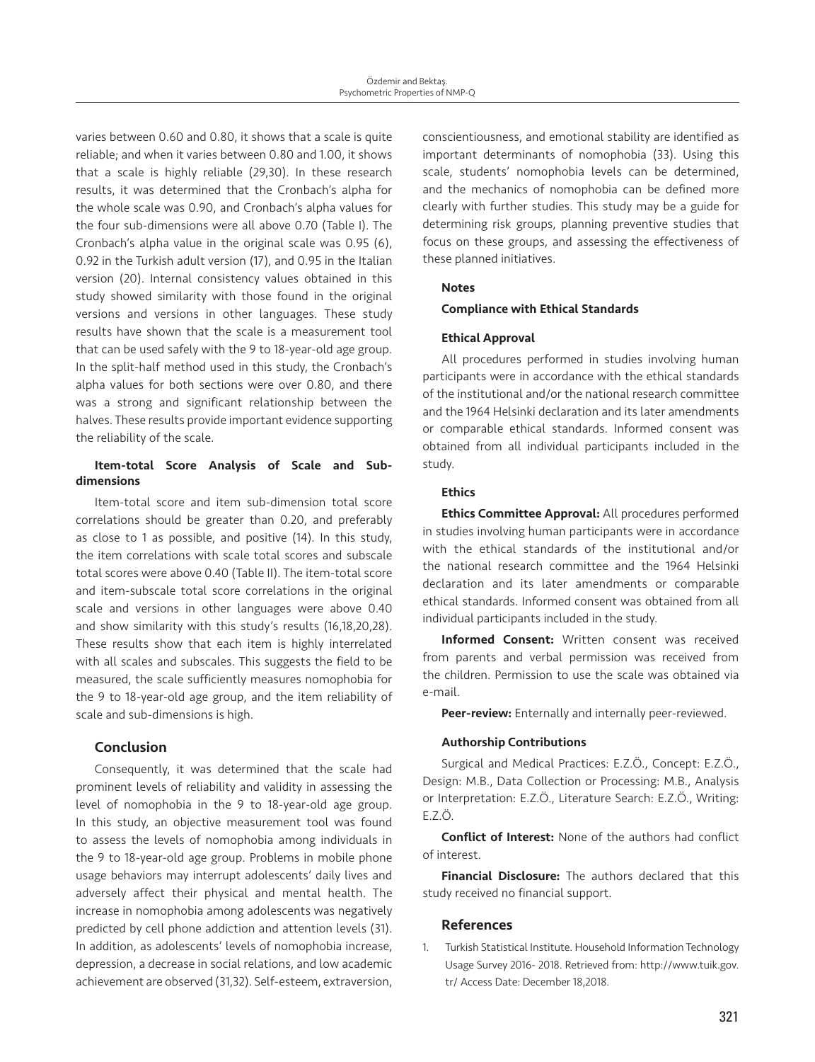varies between 0.60 and 0.80, it shows that a scale is quite reliable; and when it varies between 0.80 and 1.00, it shows that a scale is highly reliable (29,30). In these research results, it was determined that the Cronbach's alpha for the whole scale was 0.90, and Cronbach's alpha values for the four sub-dimensions were all above 0.70 (Table I). The Cronbach's alpha value in the original scale was 0.95 (6), 0.92 in the Turkish adult version (17), and 0.95 in the Italian version (20). Internal consistency values obtained in this study showed similarity with those found in the original versions and versions in other languages. These study results have shown that the scale is a measurement tool that can be used safely with the 9 to 18-year-old age group. In the split-half method used in this study, the Cronbach's alpha values for both sections were over 0.80, and there was a strong and significant relationship between the halves. These results provide important evidence supporting the reliability of the scale.

# Item-total Score Analysis of Scale and Subdimensions

Item-total score and item sub-dimension total score correlations should be greater than 0.20, and preferably as close to 1 as possible, and positive (14). In this study, the item correlations with scale total scores and subscale total scores were above 0.40 (Table II). The item-total score and item-subscale total score correlations in the original scale and versions in other languages were above 0.40 and show similarity with this study's results (16,18,20,28). These results show that each item is highly interrelated with all scales and subscales. This suggests the field to be measured, the scale sufficiently measures nomophobia for the 9 to 18-year-old age group, and the item reliability of scale and sub-dimensions is high.

# Conclusion

Consequently, it was determined that the scale had prominent levels of reliability and validity in assessing the level of nomophobia in the 9 to 18-year-old age group. In this study, an objective measurement tool was found to assess the levels of nomophobia among individuals in the 9 to 18-year-old age group. Problems in mobile phone usage behaviors may interrupt adolescents' daily lives and adversely affect their physical and mental health. The increase in nomophobia among adolescents was negatively predicted by cell phone addiction and attention levels (31). In addition, as adolescents' levels of nomophobia increase, depression, a decrease in social relations, and low academic achievement are observed (31,32). Self-esteem, extraversion,

conscientiousness, and emotional stability are identified as important determinants of nomophobia (33). Using this scale, students' nomophobia levels can be determined, and the mechanics of nomophobia can be defined more clearly with further studies. This study may be a guide for determining risk groups, planning preventive studies that focus on these groups, and assessing the effectiveness of these planned initiatives.

# Notes

# Compliance with Ethical Standards

# Ethical Approval

All procedures performed in studies involving human participants were in accordance with the ethical standards of the institutional and/or the national research committee and the 1964 Helsinki declaration and its later amendments or comparable ethical standards. Informed consent was obtained from all individual participants included in the study.

# **Ethics**

Ethics Committee Approval: All procedures performed in studies involving human participants were in accordance with the ethical standards of the institutional and/or the national research committee and the 1964 Helsinki declaration and its later amendments or comparable ethical standards. Informed consent was obtained from all individual participants included in the study.

Informed Consent: Written consent was received from parents and verbal permission was received from the children. Permission to use the scale was obtained via e-mail.

Peer-review: Enternally and internally peer-reviewed.

# Authorship Contributions

Surgical and Medical Practices: E.Z.Ö., Concept: E.Z.Ö., Design: M.B., Data Collection or Processing: M.B., Analysis or Interpretation: E.Z.Ö., Literature Search: E.Z.Ö., Writing: E.Z.Ö.

Conflict of Interest: None of the authors had conflict of interest.

**Financial Disclosure:** The authors declared that this study received no financial support.

# References

1. Turkish Statistical Institute. Household Information Technology Usage Survey 2016- 2018. Retrieved from: http://www.tuik.gov. tr/ Access Date: December 18,2018.